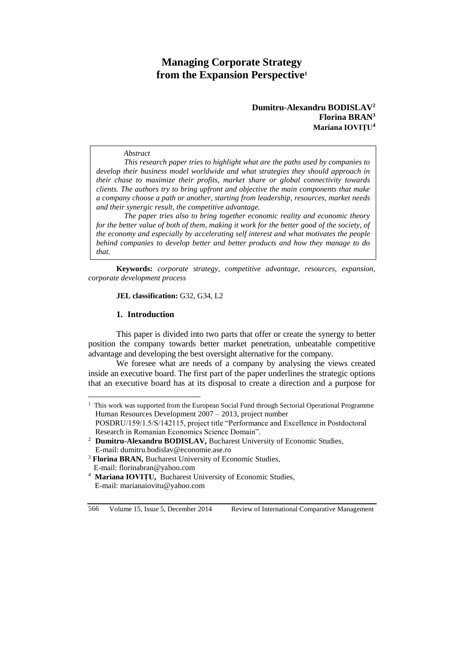# **Managing Corporate Strategy from the Expansion Perspective<sup>1</sup>**

### **Dumitru-Alexandru BODISLAV<sup>2</sup> Florina BRAN<sup>3</sup> Mariana IOVIȚU<sup>4</sup>**

#### *Abstract*

*This research paper tries to highlight what are the paths used by companies to develop their business model worldwide and what strategies they should approach in their chase to maximize their profits, market share or global connectivity towards clients. The authors try to bring upfront and objective the main components that make a company choose a path or another, starting from leadership, resources, market needs and their synergic result, the competitive advantage.*

*The paper tries also to bring together economic reality and economic theory*  for the better value of both of them, making it work for the better good of the society, of *the economy and especially by accelerating self interest and what motivates the people behind companies to develop better and better products and how they manage to do that.*

**Keywords:** *corporate strategy, competitive advantage, resources, expansion, corporate development process .*

#### **JEL classification:** G32, G34, L2

### **1. Introduction**

 $\overline{a}$ 

This paper is divided into two parts that offer or create the synergy to better position the company towards better market penetration, unbeatable competitive advantage and developing the best oversight alternative for the company.

We foresee what are needs of a company by analysing the views created inside an executive board. The first part of the paper underlines the strategic options that an executive board has at its disposal to create a direction and a purpose for

<sup>&</sup>lt;sup>1</sup> This work was supported from the European Social Fund through Sectorial Operational Programme Human Resources Development 2007 – 2013, project number POSDRU/159/1.5/S/142115, project title "Performance and Excellence in Postdoctoral

Research in Romanian Economics Science Domain". <sup>2</sup> **Dumitru-Alexandru BODISLAV, Bucharest University of Economic Studies,** E-mail: dumitru.bodislav@economie.ase.ro

<sup>&</sup>lt;sup>3</sup> **Florina BRAN, Bucharest University of Economic Studies,** E-mail: florinabran@yahoo.com

<sup>4</sup> **Mariana IOVIȚU,** Bucharest University of Economic Studies, E-mail: marianaiovitu@yahoo.com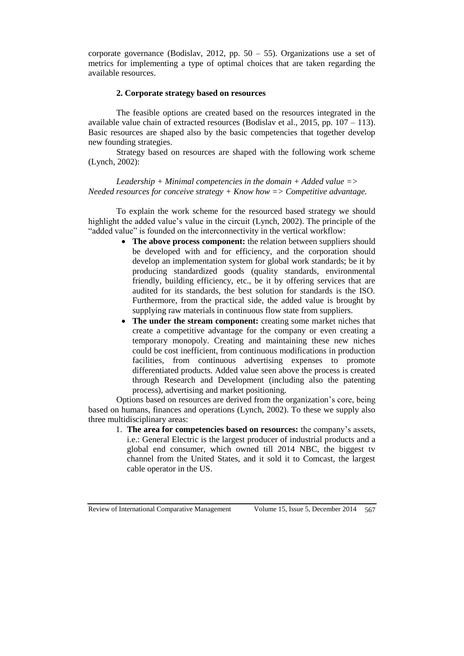corporate governance (Bodislav, 2012, pp.  $50 - 55$ ). Organizations use a set of metrics for implementing a type of optimal choices that are taken regarding the available resources.

# **2. Corporate strategy based on resources**

The feasible options are created based on the resources integrated in the available value chain of extracted resources (Bodislav et al., 2015, pp. 107 – 113). Basic resources are shaped also by the basic competencies that together develop new founding strategies.

Strategy based on resources are shaped with the following work scheme (Lynch, 2002):

*Leadership + Minimal competencies in the domain + Added value => Needed resources for conceive strategy + Know how => Competitive advantage.*

To explain the work scheme for the resourced based strategy we should highlight the added value's value in the circuit (Lynch, 2002). The principle of the "added value" is founded on the interconnectivity in the vertical workflow:

- The above process component: the relation between suppliers should be developed with and for efficiency, and the corporation should develop an implementation system for global work standards; be it by producing standardized goods (quality standards, environmental friendly, building efficiency, etc., be it by offering services that are audited for its standards, the best solution for standards is the ISO. Furthermore, from the practical side, the added value is brought by supplying raw materials in continuous flow state from suppliers.
- The under the stream component: creating some market niches that create a competitive advantage for the company or even creating a temporary monopoly. Creating and maintaining these new niches could be cost inefficient, from continuous modifications in production facilities, from continuous advertising expenses to promote differentiated products. Added value seen above the process is created through Research and Development (including also the patenting process), advertising and market positioning.

Options based on resources are derived from the organization's core, being based on humans, finances and operations (Lynch, 2002). To these we supply also three multidisciplinary areas:

1. **The area for competencies based on resources:** the company's assets, i.e.: General Electric is the largest producer of industrial products and a global end consumer, which owned till 2014 NBC, the biggest tv channel from the United States, and it sold it to Comcast, the largest cable operator in the US.

Review of International Comparative Management Volume 15, Issue 5, December 2014 567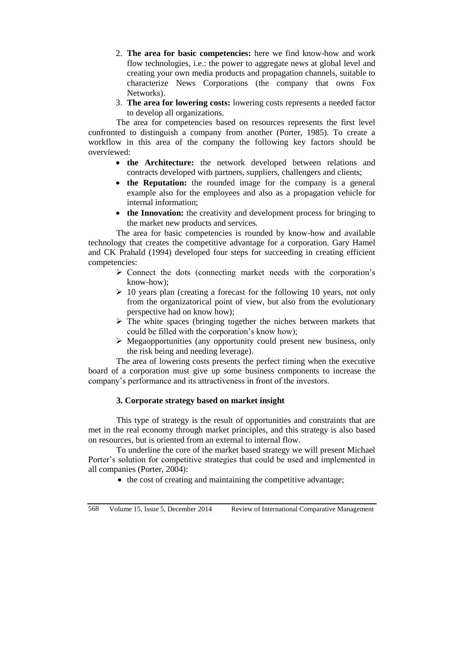- 2. **The area for basic competencies:** here we find know-how and work flow technologies, i.e.: the power to aggregate news at global level and creating your own media products and propagation channels, suitable to characterize News Corporations (the company that owns Fox Networks).
- 3. **The area for lowering costs:** lowering costs represents a needed factor to develop all organizations.

The area for competencies based on resources represents the first level confronted to distinguish a company from another (Porter, 1985). To create a workflow in this area of the company the following key factors should be overviewed:

- **the Architecture:** the network developed between relations and contracts developed with partners, suppliers, challengers and clients;
- **the Reputation:** the rounded image for the company is a general example also for the employees and also as a propagation vehicle for internal information;
- **the Innovation:** the creativity and development process for bringing to the market new products and services.

The area for basic competencies is rounded by know-how and available technology that creates the competitive advantage for a corporation. Gary Hamel and CK Prahald (1994) developed four steps for succeeding in creating efficient competencies:

- $\triangleright$  Connect the dots (connecting market needs with the corporation's know-how);
- $\geq 10$  years plan (creating a forecast for the following 10 years, not only from the organizatorical point of view, but also from the evolutionary perspective had on know how);
- $\triangleright$  The white spaces (bringing together the niches between markets that could be filled with the corporation's know how);
- $\triangleright$  Megaopportunities (any opportunity could present new business, only the risk being and needing leverage).

The area of lowering costs presents the perfect timing when the executive board of a corporation must give up some business components to increase the company's performance and its attractiveness in front of the investors.

# **3. Corporate strategy based on market insight**

This type of strategy is the result of opportunities and constraints that are met in the real economy through market principles, and this strategy is also based on resources, but is oriented from an external to internal flow.

To underline the core of the market based strategy we will present Michael Porter's solution for competitive strategies that could be used and implemented in all companies (Porter, 2004):

• the cost of creating and maintaining the competitive advantage;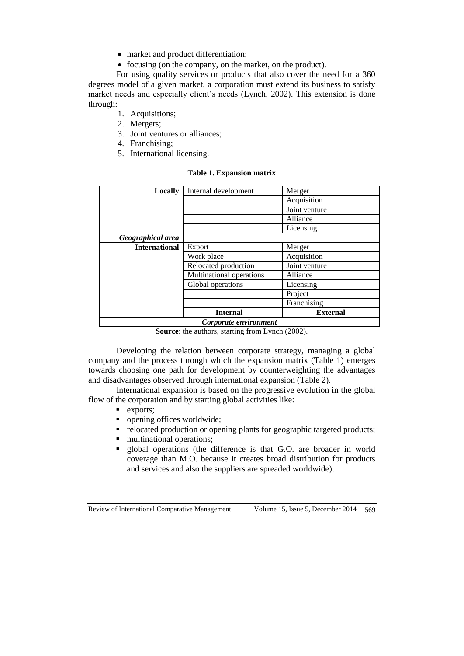- market and product differentiation;
- focusing (on the company, on the market, on the product).

For using quality services or products that also cover the need for a 360 degrees model of a given market, a corporation must extend its business to satisfy market needs and especially client's needs (Lynch, 2002). This extension is done through:

- 1. Acquisitions;
- 2. Mergers;
- 3. Joint ventures or alliances;
- 4. Franchising;
- 5. International licensing.

#### **Table 1. Expansion matrix**

| <b>Locally</b>        | Internal development     | Merger          |
|-----------------------|--------------------------|-----------------|
|                       |                          | Acquisition     |
|                       |                          | Joint venture   |
|                       |                          | Alliance        |
|                       |                          | Licensing       |
| Geographical area     |                          |                 |
| <b>International</b>  | Export                   | Merger          |
|                       | Work place               | Acquisition     |
|                       | Relocated production     | Joint venture   |
|                       | Multinational operations | Alliance        |
|                       | Global operations        | Licensing       |
|                       |                          | Project         |
|                       |                          | Franchising     |
|                       | <b>Internal</b>          | <b>External</b> |
| Corporate environment |                          |                 |

**Source**: the authors, starting from Lynch (2002).

Developing the relation between corporate strategy, managing a global company and the process through which the expansion matrix (Table 1) emerges towards choosing one path for development by counterweighting the advantages and disadvantages observed through international expansion (Table 2).

International expansion is based on the progressive evolution in the global flow of the corporation and by starting global activities like:

- $\blacksquare$  exports;
- opening offices worldwide;
- relocated production or opening plants for geographic targeted products;
- **n** multinational operations;
- global operations (the difference is that G.O. are broader in world coverage than M.O. because it creates broad distribution for products and services and also the suppliers are spreaded worldwide).

Review of International Comparative Management Volume 15, Issue 5, December 2014 569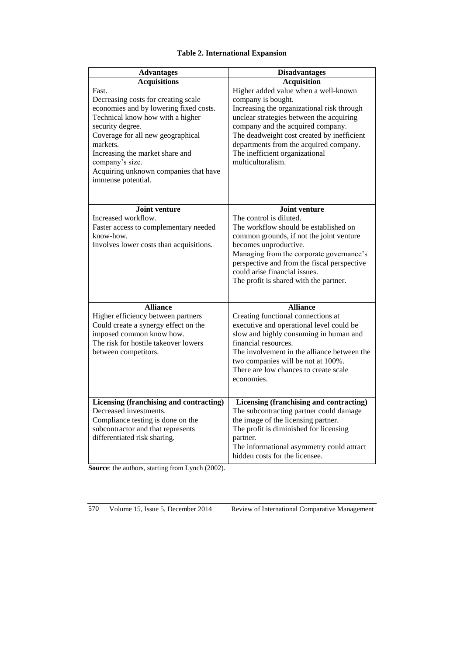# **Table 2. International Expansion**

| <b>Advantages</b>                                                                                                                                                                                                                                                                                                                           | <b>Disadvantages</b>                                                                                                                                                                                                                                                                                                                                           |
|---------------------------------------------------------------------------------------------------------------------------------------------------------------------------------------------------------------------------------------------------------------------------------------------------------------------------------------------|----------------------------------------------------------------------------------------------------------------------------------------------------------------------------------------------------------------------------------------------------------------------------------------------------------------------------------------------------------------|
| <b>Acquisitions</b><br>Fast.<br>Decreasing costs for creating scale<br>economies and by lowering fixed costs.<br>Technical know how with a higher<br>security degree.<br>Coverage for all new geographical<br>markets.<br>Increasing the market share and<br>company's size.<br>Acquiring unknown companies that have<br>immense potential. | <b>Acquisition</b><br>Higher added value when a well-known<br>company is bought.<br>Increasing the organizational risk through<br>unclear strategies between the acquiring<br>company and the acquired company.<br>The deadweight cost created by inefficient<br>departments from the acquired company.<br>The inefficient organizational<br>multiculturalism. |
| Joint venture<br>Increased workflow.<br>Faster access to complementary needed<br>know-how.<br>Involves lower costs than acquisitions.                                                                                                                                                                                                       | Joint venture<br>The control is diluted.<br>The workflow should be established on<br>common grounds, if not the joint venture<br>becomes unproductive.<br>Managing from the corporate governance's<br>perspective and from the fiscal perspective<br>could arise financial issues.<br>The profit is shared with the partner.                                   |
| <b>Alliance</b><br>Higher efficiency between partners<br>Could create a synergy effect on the<br>imposed common know how.<br>The risk for hostile takeover lowers<br>between competitors.                                                                                                                                                   | <b>Alliance</b><br>Creating functional connections at<br>executive and operational level could be<br>slow and highly consuming in human and<br>financial resources.<br>The involvement in the alliance between the<br>two companies will be not at 100%.<br>There are low chances to create scale<br>economies.                                                |
| Licensing (franchising and contracting)<br>Decreased investments.<br>Compliance testing is done on the<br>subcontractor and that represents<br>differentiated risk sharing.                                                                                                                                                                 | Licensing (franchising and contracting)<br>The subcontracting partner could damage<br>the image of the licensing partner.<br>The profit is diminished for licensing<br>partner.<br>The informational asymmetry could attract<br>hidden costs for the licensee.                                                                                                 |

**Source**: the authors, starting from Lynch (2002).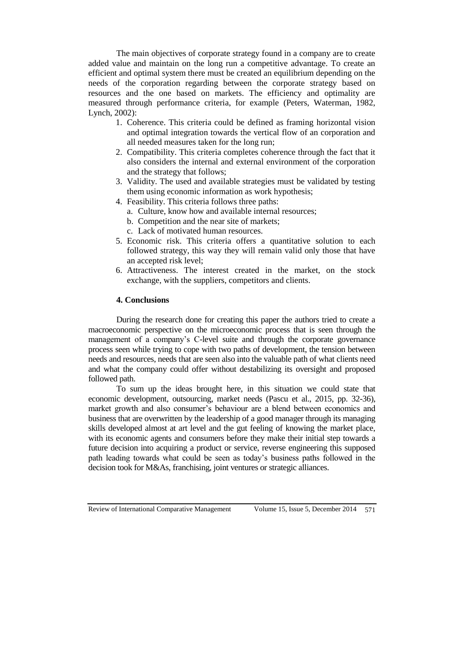The main objectives of corporate strategy found in a company are to create added value and maintain on the long run a competitive advantage. To create an efficient and optimal system there must be created an equilibrium depending on the needs of the corporation regarding between the corporate strategy based on resources and the one based on markets. The efficiency and optimality are measured through performance criteria, for example (Peters, Waterman, 1982, Lynch, 2002):

- 1. Coherence. This criteria could be defined as framing horizontal vision and optimal integration towards the vertical flow of an corporation and all needed measures taken for the long run;
- 2. Compatibility. This criteria completes coherence through the fact that it also considers the internal and external environment of the corporation and the strategy that follows;
- 3. Validity. The used and available strategies must be validated by testing them using economic information as work hypothesis;
- 4. Feasibility. This criteria follows three paths:
	- a. Culture, know how and available internal resources;
	- b. Competition and the near site of markets;
	- c. Lack of motivated human resources.
- 5. Economic risk. This criteria offers a quantitative solution to each followed strategy, this way they will remain valid only those that have an accepted risk level;
- 6. Attractiveness. The interest created in the market, on the stock exchange, with the suppliers, competitors and clients.

# **4. Conclusions**

During the research done for creating this paper the authors tried to create a macroeconomic perspective on the microeconomic process that is seen through the management of a company's C-level suite and through the corporate governance process seen while trying to cope with two paths of development, the tension between needs and resources, needs that are seen also into the valuable path of what clients need and what the company could offer without destabilizing its oversight and proposed followed path.

To sum up the ideas brought here, in this situation we could state that economic development, outsourcing, market needs (Pascu et al., 2015, pp. 32-36), market growth and also consumer's behaviour are a blend between economics and business that are overwritten by the leadership of a good manager through its managing skills developed almost at art level and the gut feeling of knowing the market place, with its economic agents and consumers before they make their initial step towards a future decision into acquiring a product or service, reverse engineering this supposed path leading towards what could be seen as today's business paths followed in the decision took for M&As, franchising, joint ventures or strategic alliances.

Review of International Comparative Management Volume 15, Issue 5, December 2014 571